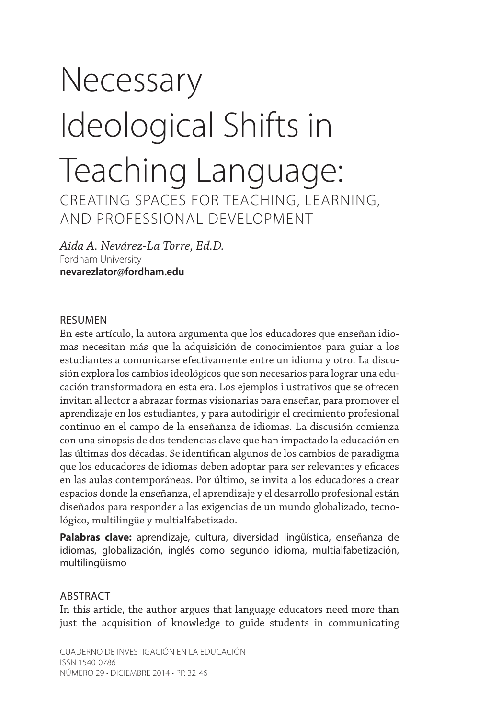# Necessary Ideological Shifts in Teaching Language: CREATING SPACES FOR TEACHING, LEARNING, AND PROFESSIONAL DEVELOPMENT

*Aida A. Nevárez-La Torre, Ed.D.* Fordham University **nevarezlator@fordham.edu**

#### RESUMEN

En este artículo, la autora argumenta que los educadores que enseñan idiomas necesitan más que la adquisición de conocimientos para guiar a los estudiantes a comunicarse efectivamente entre un idioma y otro. La discusión explora los cambios ideológicos que son necesarios para lograr una educación transformadora en esta era. Los ejemplos ilustrativos que se ofrecen invitan al lector a abrazar formas visionarias para enseñar, para promover el aprendizaje en los estudiantes, y para autodirigir el crecimiento profesional continuo en el campo de la enseñanza de idiomas. La discusión comienza con una sinopsis de dos tendencias clave que han impactado la educación en las últimas dos décadas. Se identifican algunos de los cambios de paradigma que los educadores de idiomas deben adoptar para ser relevantes y eficaces en las aulas contemporáneas. Por último, se invita a los educadores a crear espacios donde la enseñanza, el aprendizaje y el desarrollo profesional están diseñados para responder a las exigencias de un mundo globalizado, tecnológico, multilingüe y multialfabetizado.

**Palabras clave:** aprendizaje, cultura, diversidad lingüística, enseñanza de idiomas, globalización, inglés como segundo idioma, multialfabetización, multilingüismo

#### ABSTRACT

In this article, the author argues that language educators need more than just the acquisition of knowledge to guide students in communicating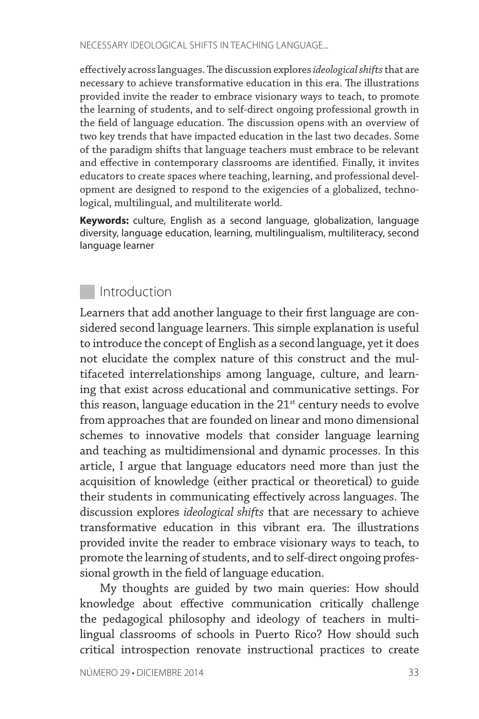effectively across languages. The discussion explores *ideological shifts* that are necessary to achieve transformative education in this era. The illustrations provided invite the reader to embrace visionary ways to teach, to promote the learning of students, and to self-direct ongoing professional growth in the field of language education. The discussion opens with an overview of two key trends that have impacted education in the last two decades. Some of the paradigm shifts that language teachers must embrace to be relevant and effective in contemporary classrooms are identified. Finally, it invites educators to create spaces where teaching, learning, and professional development are designed to respond to the exigencies of a globalized, technological, multilingual, and multiliterate world.

**Keywords:** culture, English as a second language, globalization, language diversity, language education, learning, multilingualism, multiliteracy, second language learner

## **Introduction**

Learners that add another language to their first language are considered second language learners. This simple explanation is useful to introduce the concept of English as a second language, yet it does not elucidate the complex nature of this construct and the multifaceted interrelationships among language, culture, and learning that exist across educational and communicative settings. For this reason, language education in the  $21<sup>st</sup>$  century needs to evolve from approaches that are founded on linear and mono dimensional schemes to innovative models that consider language learning and teaching as multidimensional and dynamic processes. In this article, I argue that language educators need more than just the acquisition of knowledge (either practical or theoretical) to guide their students in communicating effectively across languages. The discussion explores *ideological shifts* that are necessary to achieve transformative education in this vibrant era. The illustrations provided invite the reader to embrace visionary ways to teach, to promote the learning of students, and to self-direct ongoing professional growth in the field of language education.

My thoughts are guided by two main queries: How should knowledge about effective communication critically challenge the pedagogical philosophy and ideology of teachers in multilingual classrooms of schools in Puerto Rico? How should such critical introspection renovate instructional practices to create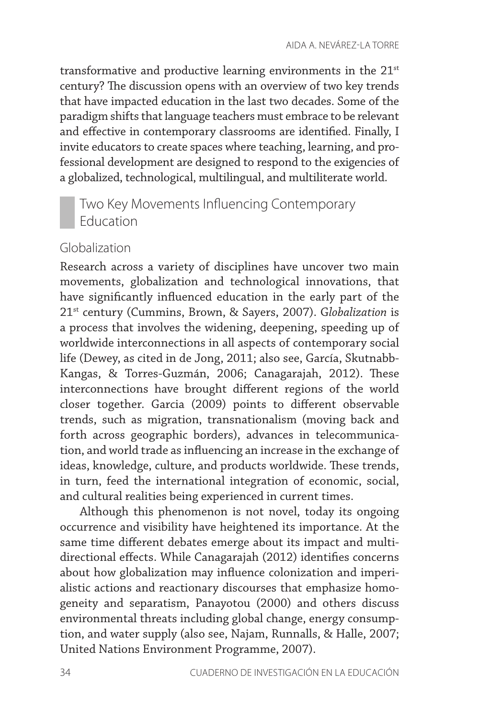transformative and productive learning environments in the 21<sup>st</sup> century? The discussion opens with an overview of two key trends that have impacted education in the last two decades. Some of the paradigm shifts that language teachers must embrace to be relevant and effective in contemporary classrooms are identified. Finally, I invite educators to create spaces where teaching, learning, and professional development are designed to respond to the exigencies of a globalized, technological, multilingual, and multiliterate world.

# Two Key Movements Influencing Contemporary Education

#### Globalization

Research across a variety of disciplines have uncover two main movements, globalization and technological innovations, that have significantly influenced education in the early part of the 21st century (Cummins, Brown, & Sayers, 2007). G*lobalization* is a process that involves the widening, deepening, speeding up of worldwide interconnections in all aspects of contemporary social life (Dewey, as cited in de Jong, 2011; also see, García, Skutnabb-Kangas, & Torres-Guzmán, 2006; Canagarajah, 2012). These interconnections have brought different regions of the world closer together. Garcia (2009) points to different observable trends, such as migration, transnationalism (moving back and forth across geographic borders), advances in telecommunication, and world trade as influencing an increase in the exchange of ideas, knowledge, culture, and products worldwide. These trends, in turn, feed the international integration of economic, social, and cultural realities being experienced in current times.

Although this phenomenon is not novel, today its ongoing occurrence and visibility have heightened its importance. At the same time different debates emerge about its impact and multidirectional effects. While Canagarajah (2012) identifies concerns about how globalization may influence colonization and imperialistic actions and reactionary discourses that emphasize homogeneity and separatism, Panayotou (2000) and others discuss environmental threats including global change, energy consumption, and water supply (also see, Najam, Runnalls, & Halle, 2007; United Nations Environment Programme, 2007).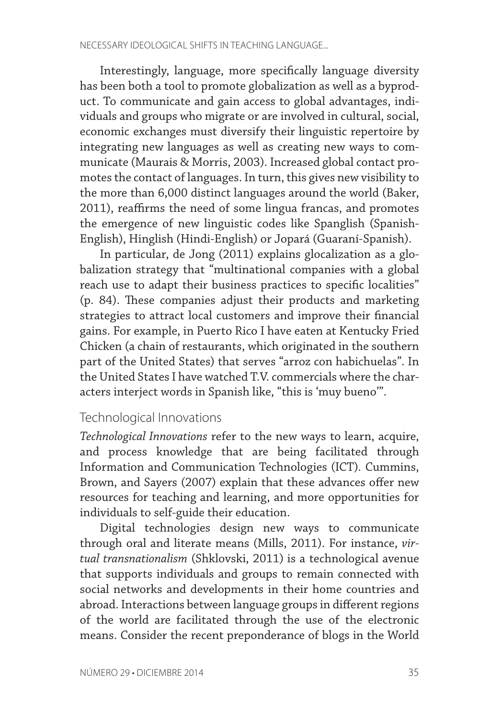Interestingly, language, more specifically language diversity has been both a tool to promote globalization as well as a byproduct. To communicate and gain access to global advantages, individuals and groups who migrate or are involved in cultural, social, economic exchanges must diversify their linguistic repertoire by integrating new languages as well as creating new ways to communicate (Maurais & Morris, 2003). Increased global contact promotes the contact of languages. In turn, this gives new visibility to the more than 6,000 distinct languages around the world (Baker, 2011), reaffirms the need of some lingua francas, and promotes the emergence of new linguistic codes like Spanglish (Spanish-English), Hinglish (Hindi-English) or Jopará (Guaraní-Spanish).

In particular, de Jong (2011) explains glocalization as a globalization strategy that "multinational companies with a global reach use to adapt their business practices to specific localities" (p. 84). These companies adjust their products and marketing strategies to attract local customers and improve their financial gains. For example, in Puerto Rico I have eaten at Kentucky Fried Chicken (a chain of restaurants, which originated in the southern part of the United States) that serves "arroz con habichuelas". In the United States I have watched T.V. commercials where the characters interject words in Spanish like, "this is 'muy bueno'".

#### Technological Innovations

*Technological Innovations* refer to the new ways to learn, acquire, and process knowledge that are being facilitated through Information and Communication Technologies (ICT)*.* Cummins, Brown, and Sayers (2007) explain that these advances offer new resources for teaching and learning, and more opportunities for individuals to self-guide their education.

Digital technologies design new ways to communicate through oral and literate means (Mills, 2011). For instance, *virtual transnationalism* (Shklovski, 2011) is a technological avenue that supports individuals and groups to remain connected with social networks and developments in their home countries and abroad. Interactions between language groups in different regions of the world are facilitated through the use of the electronic means. Consider the recent preponderance of blogs in the World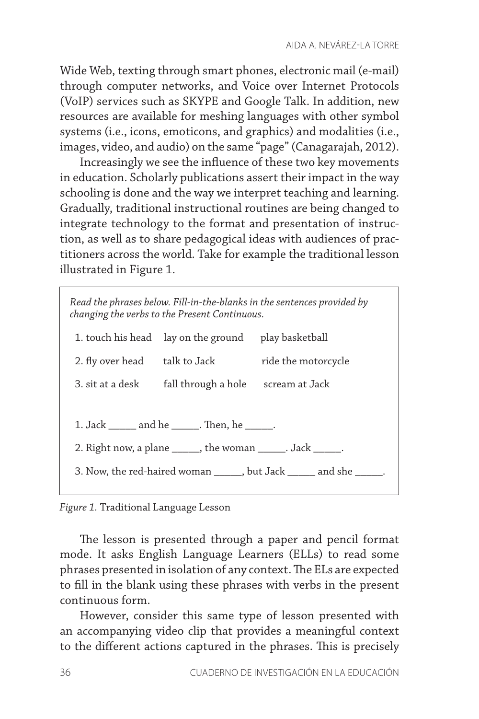Wide Web, texting through smart phones, electronic mail (e-mail) through computer networks, and Voice over Internet Protocols (VoIP) services such as SKYPE and Google Talk. In addition, new resources are available for meshing languages with other symbol systems (i.e., icons, emoticons, and graphics) and modalities (i.e., images, video, and audio) on the same "page" (Canagarajah, 2012).

Increasingly we see the influence of these two key movements in education. Scholarly publications assert their impact in the way schooling is done and the way we interpret teaching and learning. Gradually, traditional instructional routines are being changed to integrate technology to the format and presentation of instruction, as well as to share pedagogical ideas with audiences of practitioners across the world. Take for example the traditional lesson illustrated in Figure 1.

*Read the phrases below. Fill-in-the-blanks in the sentences provided by changing the verbs to the Present Continuous.*

|                                                                      | 1. touch his head lay on the ground play basketball |                     |
|----------------------------------------------------------------------|-----------------------------------------------------|---------------------|
|                                                                      | 2. fly over head talk to Jack                       | ride the motorcycle |
|                                                                      | 3. sit at a desk fall through a hole scream at Jack |                     |
|                                                                      |                                                     |                     |
| 1. Jack ______ and he ______. Then, he ______.                       |                                                     |                     |
| 2. Right now, a plane ______, the woman ______. Jack _____.          |                                                     |                     |
| 3. Now, the red-haired woman ______, but Jack ______ and she ______. |                                                     |                     |
|                                                                      |                                                     |                     |

*Figure 1.* Traditional Language Lesson

The lesson is presented through a paper and pencil format mode. It asks English Language Learners (ELLs) to read some phrases presented in isolation of any context. The ELs are expected to fill in the blank using these phrases with verbs in the present continuous form.

However, consider this same type of lesson presented with an accompanying video clip that provides a meaningful context to the different actions captured in the phrases. This is precisely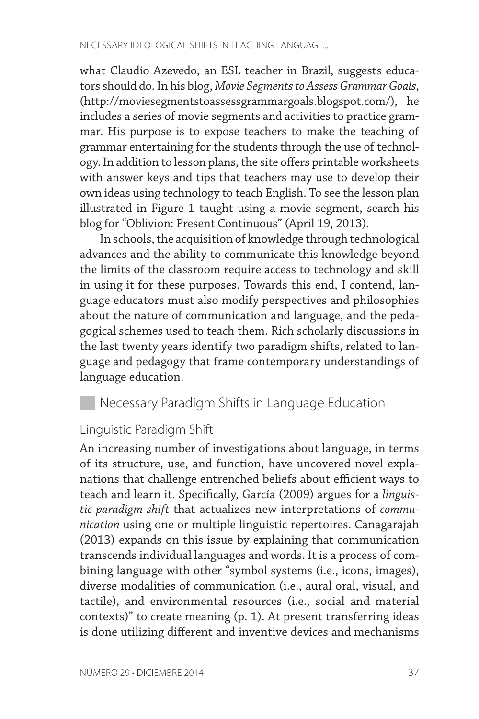what Claudio Azevedo, an ESL teacher in Brazil, suggests educators should do. In his blog, *Movie Segments to Assess Grammar Goals*, (http://moviesegmentstoassessgrammargoals.blogspot.com/), he includes a series of movie segments and activities to practice grammar. His purpose is to expose teachers to make the teaching of grammar entertaining for the students through the use of technology. In addition to lesson plans, the site offers printable worksheets with answer keys and tips that teachers may use to develop their own ideas using technology to teach English. To see the lesson plan illustrated in Figure 1 taught using a movie segment, search his blog for "Oblivion: Present Continuous" (April 19, 2013).

In schools, the acquisition of knowledge through technological advances and the ability to communicate this knowledge beyond the limits of the classroom require access to technology and skill in using it for these purposes. Towards this end, I contend, language educators must also modify perspectives and philosophies about the nature of communication and language, and the pedagogical schemes used to teach them. Rich scholarly discussions in the last twenty years identify two paradigm shifts, related to language and pedagogy that frame contemporary understandings of language education.

## **Necessary Paradigm Shifts in Language Education**

#### Linguistic Paradigm Shift

An increasing number of investigations about language, in terms of its structure, use, and function, have uncovered novel explanations that challenge entrenched beliefs about efficient ways to teach and learn it. Specifically, García (2009) argues for a *linguistic paradigm shift* that actualizes new interpretations of *communication* using one or multiple linguistic repertoires. Canagarajah (2013) expands on this issue by explaining that communication transcends individual languages and words. It is a process of combining language with other "symbol systems (i.e., icons, images), diverse modalities of communication (i.e., aural oral, visual, and tactile), and environmental resources (i.e., social and material contexts)" to create meaning (p. 1). At present transferring ideas is done utilizing different and inventive devices and mechanisms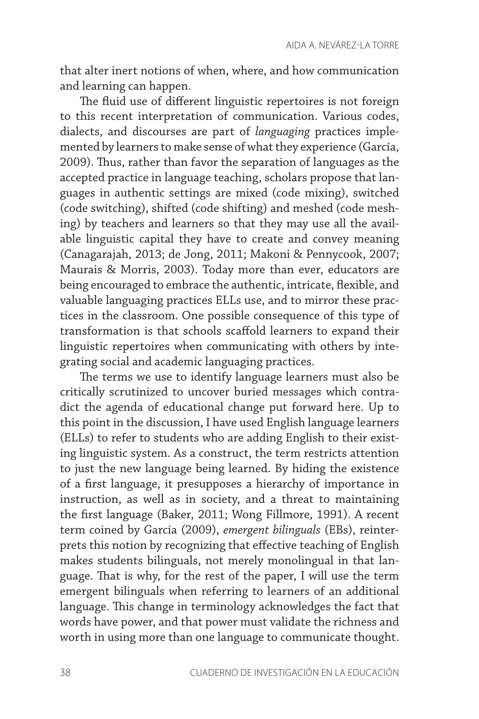that alter inert notions of when, where, and how communication and learning can happen.

The fluid use of different linguistic repertoires is not foreign to this recent interpretation of communication. Various codes, dialects, and discourses are part of *languaging* practices implemented by learners to make sense of what they experience (García, 2009). Thus, rather than favor the separation of languages as the accepted practice in language teaching, scholars propose that languages in authentic settings are mixed (code mixing), switched (code switching), shifted (code shifting) and meshed (code meshing) by teachers and learners so that they may use all the available linguistic capital they have to create and convey meaning (Canagarajah, 2013; de Jong, 2011; Makoni & Pennycook, 2007; Maurais & Morris, 2003). Today more than ever, educators are being encouraged to embrace the authentic, intricate, flexible, and valuable languaging practices ELLs use, and to mirror these practices in the classroom. One possible consequence of this type of transformation is that schools scaffold learners to expand their linguistic repertoires when communicating with others by integrating social and academic languaging practices.

The terms we use to identify language learners must also be critically scrutinized to uncover buried messages which contradict the agenda of educational change put forward here. Up to this point in the discussion, I have used English language learners (ELLs) to refer to students who are adding English to their existing linguistic system. As a construct, the term restricts attention to just the new language being learned. By hiding the existence of a first language, it presupposes a hierarchy of importance in instruction, as well as in society, and a threat to maintaining the first language (Baker, 2011; Wong Fillmore, 1991). A recent term coined by García (2009), *emergent bilinguals* (EBs), reinterprets this notion by recognizing that effective teaching of English makes students bilinguals, not merely monolingual in that language. That is why, for the rest of the paper, I will use the term emergent bilinguals when referring to learners of an additional language. This change in terminology acknowledges the fact that words have power, and that power must validate the richness and worth in using more than one language to communicate thought.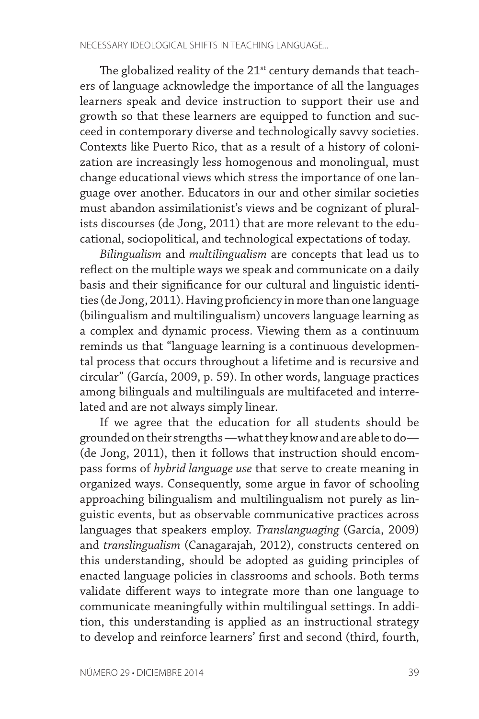The globalized reality of the  $21<sup>st</sup>$  century demands that teachers of language acknowledge the importance of all the languages learners speak and device instruction to support their use and growth so that these learners are equipped to function and succeed in contemporary diverse and technologically savvy societies. Contexts like Puerto Rico, that as a result of a history of colonization are increasingly less homogenous and monolingual, must change educational views which stress the importance of one language over another. Educators in our and other similar societies must abandon assimilationist's views and be cognizant of pluralists discourses (de Jong, 2011) that are more relevant to the educational, sociopolitical, and technological expectations of today.

*Bilingualism* and *multilingualism* are concepts that lead us to reflect on the multiple ways we speak and communicate on a daily basis and their significance for our cultural and linguistic identities (de Jong, 2011). Having proficiency in more than one language (bilingualism and multilingualism) uncovers language learning as a complex and dynamic process. Viewing them as a continuum reminds us that "language learning is a continuous developmental process that occurs throughout a lifetime and is recursive and circular" (García, 2009, p. 59). In other words, language practices among bilinguals and multilinguals are multifaceted and interrelated and are not always simply linear.

If we agree that the education for all students should be grounded on their strengths —what they know and are able to do— (de Jong, 2011), then it follows that instruction should encompass forms of *hybrid language use* that serve to create meaning in organized ways. Consequently, some argue in favor of schooling approaching bilingualism and multilingualism not purely as linguistic events, but as observable communicative practices across languages that speakers employ. *Translanguaging* (García, 2009) and *translingualism* (Canagarajah, 2012), constructs centered on this understanding, should be adopted as guiding principles of enacted language policies in classrooms and schools. Both terms validate different ways to integrate more than one language to communicate meaningfully within multilingual settings. In addition, this understanding is applied as an instructional strategy to develop and reinforce learners' first and second (third, fourth,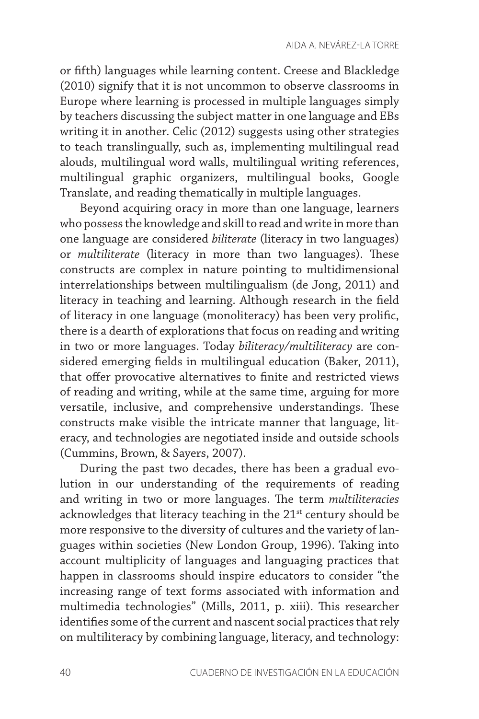or fifth) languages while learning content. Creese and Blackledge (2010) signify that it is not uncommon to observe classrooms in Europe where learning is processed in multiple languages simply by teachers discussing the subject matter in one language and EBs writing it in another. Celic (2012) suggests using other strategies to teach translingually, such as, implementing multilingual read alouds, multilingual word walls, multilingual writing references, multilingual graphic organizers, multilingual books, Google Translate, and reading thematically in multiple languages.

Beyond acquiring oracy in more than one language, learners who possess the knowledge and skill to read and write in more than one language are considered *biliterate* (literacy in two languages) or *multiliterate* (literacy in more than two languages). These constructs are complex in nature pointing to multidimensional interrelationships between multilingualism (de Jong, 2011) and literacy in teaching and learning. Although research in the field of literacy in one language (monoliteracy) has been very prolific, there is a dearth of explorations that focus on reading and writing in two or more languages. Today *biliteracy/multiliteracy* are considered emerging fields in multilingual education (Baker, 2011), that offer provocative alternatives to finite and restricted views of reading and writing, while at the same time, arguing for more versatile, inclusive, and comprehensive understandings. These constructs make visible the intricate manner that language, literacy, and technologies are negotiated inside and outside schools (Cummins, Brown, & Sayers, 2007).

During the past two decades, there has been a gradual evolution in our understanding of the requirements of reading and writing in two or more languages. The term *multiliteracies* acknowledges that literacy teaching in the 21<sup>st</sup> century should be more responsive to the diversity of cultures and the variety of languages within societies (New London Group, 1996). Taking into account multiplicity of languages and languaging practices that happen in classrooms should inspire educators to consider "the increasing range of text forms associated with information and multimedia technologies" (Mills, 2011, p. xiii). This researcher identifies some of the current and nascent social practices that rely on multiliteracy by combining language, literacy, and technology: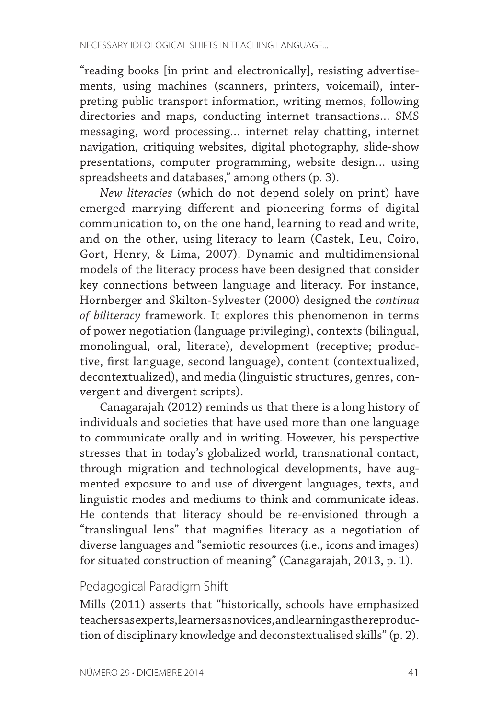"reading books [in print and electronically], resisting advertisements, using machines (scanners, printers, voicemail), interpreting public transport information, writing memos, following directories and maps, conducting internet transactions… SMS messaging, word processing… internet relay chatting, internet navigation, critiquing websites, digital photography, slide-show presentations, computer programming, website design… using spreadsheets and databases," among others (p. 3).

*New literacies* (which do not depend solely on print) have emerged marrying different and pioneering forms of digital communication to, on the one hand, learning to read and write, and on the other, using literacy to learn (Castek, Leu, Coiro, Gort, Henry, & Lima, 2007). Dynamic and multidimensional models of the literacy process have been designed that consider key connections between language and literacy. For instance, Hornberger and Skilton-Sylvester (2000) designed the *continua of biliteracy* framework. It explores this phenomenon in terms of power negotiation (language privileging), contexts (bilingual, monolingual, oral, literate), development (receptive; productive, first language, second language), content (contextualized, decontextualized), and media (linguistic structures, genres, convergent and divergent scripts).

Canagarajah (2012) reminds us that there is a long history of individuals and societies that have used more than one language to communicate orally and in writing. However, his perspective stresses that in today's globalized world, transnational contact, through migration and technological developments, have augmented exposure to and use of divergent languages, texts, and linguistic modes and mediums to think and communicate ideas. He contends that literacy should be re-envisioned through a "translingual lens" that magnifies literacy as a negotiation of diverse languages and "semiotic resources (i.e., icons and images) for situated construction of meaning" (Canagarajah, 2013, p. 1).

## Pedagogical Paradigm Shift

Mills (2011) asserts that "historically, schools have emphasized teachers as experts, learners as novices, and learning as the reproduction of disciplinary knowledge and deconstextualised skills" (p. 2).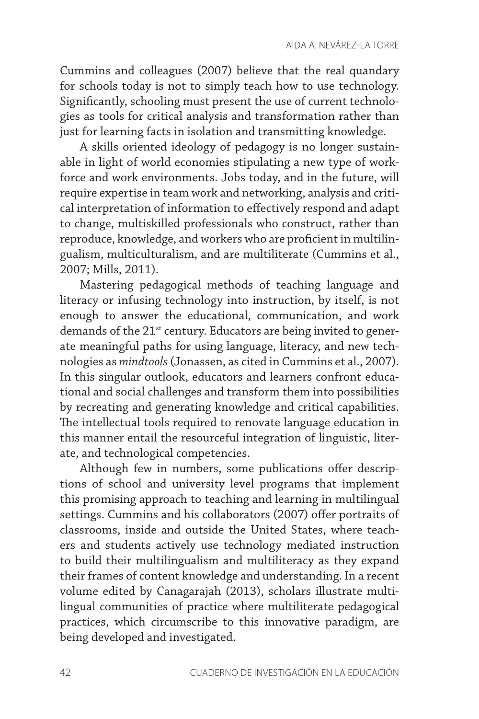Cummins and colleagues (2007) believe that the real quandary for schools today is not to simply teach how to use technology. Significantly, schooling must present the use of current technologies as tools for critical analysis and transformation rather than just for learning facts in isolation and transmitting knowledge.

A skills oriented ideology of pedagogy is no longer sustainable in light of world economies stipulating a new type of workforce and work environments. Jobs today, and in the future, will require expertise in team work and networking, analysis and critical interpretation of information to effectively respond and adapt to change, multiskilled professionals who construct, rather than reproduce, knowledge, and workers who are proficient in multilingualism, multiculturalism, and are multiliterate (Cummins et al., 2007; Mills, 2011).

Mastering pedagogical methods of teaching language and literacy or infusing technology into instruction, by itself, is not enough to answer the educational, communication, and work demands of the 21<sup>st</sup> century. Educators are being invited to generate meaningful paths for using language, literacy, and new technologies as *mindtools* (Jonassen, as cited in Cummins et al., 2007). In this singular outlook, educators and learners confront educational and social challenges and transform them into possibilities by recreating and generating knowledge and critical capabilities. The intellectual tools required to renovate language education in this manner entail the resourceful integration of linguistic, literate, and technological competencies.

Although few in numbers, some publications offer descriptions of school and university level programs that implement this promising approach to teaching and learning in multilingual settings. Cummins and his collaborators (2007) offer portraits of classrooms, inside and outside the United States, where teachers and students actively use technology mediated instruction to build their multilingualism and multiliteracy as they expand their frames of content knowledge and understanding. In a recent volume edited by Canagarajah (2013), scholars illustrate multilingual communities of practice where multiliterate pedagogical practices, which circumscribe to this innovative paradigm, are being developed and investigated.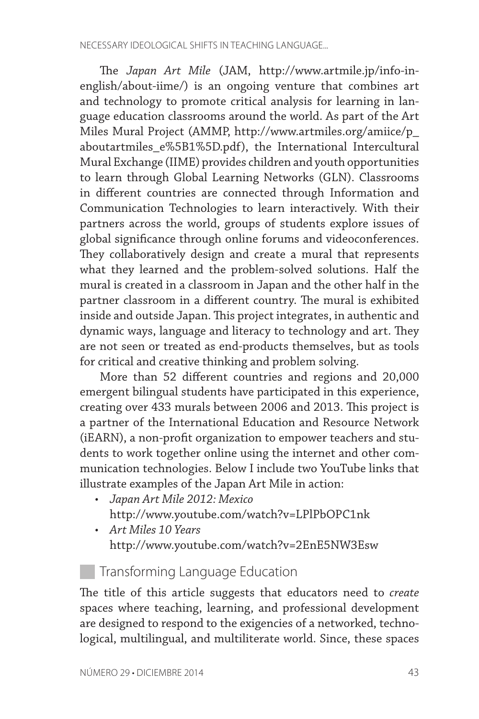The *Japan Art Mile* (JAM, http://www.artmile.jp/info-inenglish/about-iime/) is an ongoing venture that combines art and technology to promote critical analysis for learning in language education classrooms around the world. As part of the Art Miles Mural Project (AMMP, http://www.artmiles.org/amiice/p\_ aboutartmiles\_e%5B1%5D.pdf), the International Intercultural Mural Exchange (IIME) provides children and youth opportunities to learn through Global Learning Networks (GLN). Classrooms in different countries are connected through Information and Communication Technologies to learn interactively. With their partners across the world, groups of students explore issues of global significance through online forums and videoconferences. They collaboratively design and create a mural that represents what they learned and the problem-solved solutions. Half the mural is created in a classroom in Japan and the other half in the partner classroom in a different country. The mural is exhibited inside and outside Japan. This project integrates, in authentic and dynamic ways, language and literacy to technology and art. They are not seen or treated as end-products themselves, but as tools for critical and creative thinking and problem solving.

More than 52 different countries and regions and 20,000 emergent bilingual students have participated in this experience, creating over 433 murals between 2006 and 2013. This project is a partner of the International Education and Resource Network (iEARN), a non-profit organization to empower teachers and students to work together online using the internet and other communication technologies. Below I include two YouTube links that illustrate examples of the Japan Art Mile in action:

- *• Japan Art Mile 2012: Mexico* http://www.youtube.com/watch?v=LPlPbOPC1nk
- *• Art Miles 10 Years* http://www.youtube.com/watch?v=2EnE5NW3Esw

# **Transforming Language Education**

The title of this article suggests that educators need to *create* spaces where teaching, learning, and professional development are designed to respond to the exigencies of a networked, technological, multilingual, and multiliterate world. Since, these spaces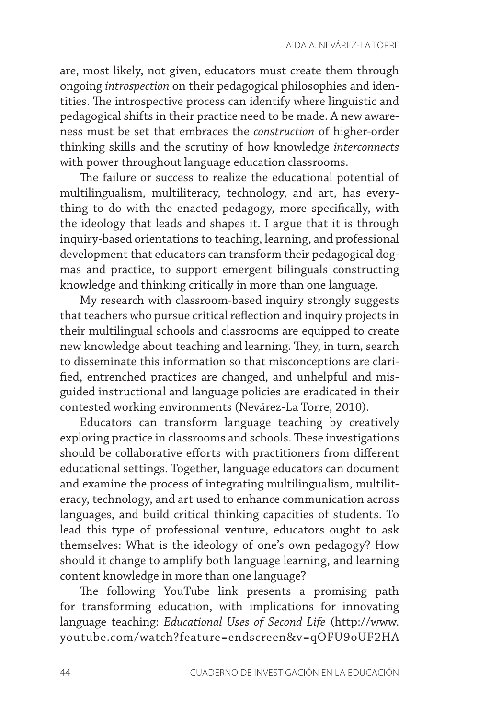are, most likely, not given, educators must create them through ongoing *introspection* on their pedagogical philosophies and identities. The introspective process can identify where linguistic and pedagogical shifts in their practice need to be made. A new awareness must be set that embraces the *construction* of higher-order thinking skills and the scrutiny of how knowledge *interconnects* with power throughout language education classrooms.

The failure or success to realize the educational potential of multilingualism, multiliteracy, technology, and art, has everything to do with the enacted pedagogy, more specifically, with the ideology that leads and shapes it. I argue that it is through inquiry-based orientations to teaching, learning, and professional development that educators can transform their pedagogical dogmas and practice, to support emergent bilinguals constructing knowledge and thinking critically in more than one language.

My research with classroom-based inquiry strongly suggests that teachers who pursue critical reflection and inquiry projects in their multilingual schools and classrooms are equipped to create new knowledge about teaching and learning. They, in turn, search to disseminate this information so that misconceptions are clarified, entrenched practices are changed, and unhelpful and misguided instructional and language policies are eradicated in their contested working environments (Nevárez-La Torre, 2010).

Educators can transform language teaching by creatively exploring practice in classrooms and schools. These investigations should be collaborative efforts with practitioners from different educational settings. Together, language educators can document and examine the process of integrating multilingualism, multiliteracy, technology, and art used to enhance communication across languages, and build critical thinking capacities of students. To lead this type of professional venture, educators ought to ask themselves: What is the ideology of one's own pedagogy? How should it change to amplify both language learning, and learning content knowledge in more than one language?

The following YouTube link presents a promising path for transforming education, with implications for innovating language teaching: *Educational Uses of Second Life* (http://www. youtube.com/watch?feature=endscreen&v=qOFU9oUF2HA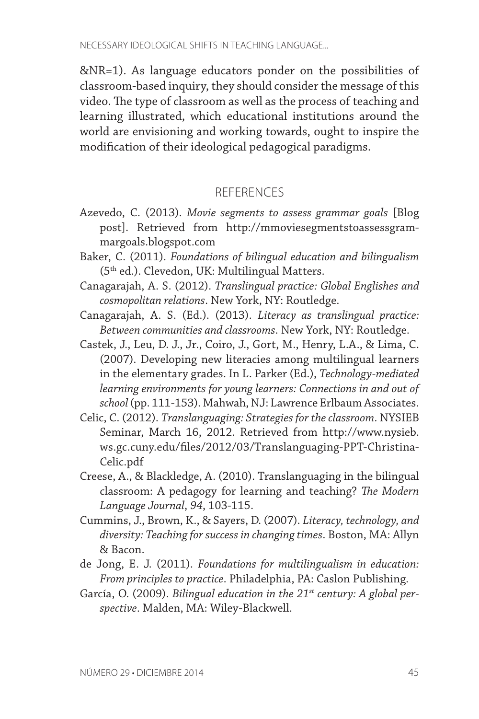&NR=1). As language educators ponder on the possibilities of classroom-based inquiry, they should consider the message of this video. The type of classroom as well as the process of teaching and learning illustrated, which educational institutions around the world are envisioning and working towards, ought to inspire the modification of their ideological pedagogical paradigms.

#### REFERENCES

- Azevedo, C. (2013). *Movie segments to assess grammar goals* [Blog post]. Retrieved from http://mmoviesegmentstoassessgrammargoals.blogspot.com
- Baker, C. (2011). *Foundations of bilingual education and bilingualism* (5th ed.). Clevedon, UK: Multilingual Matters.
- Canagarajah, A. S. (2012). *Translingual practice: Global Englishes and cosmopolitan relations*. New York, NY: Routledge.
- Canagarajah, A. S. (Ed.). (2013). *Literacy as translingual practice: Between communities and classrooms*. New York, NY: Routledge.
- Castek, J., Leu, D. J., Jr., Coiro, J., Gort, M., Henry, L.A., & Lima, C. (2007). Developing new literacies among multilingual learners in the elementary grades. In L. Parker (Ed.), *Technology-mediated learning environments for young learners: Connections in and out of school* (pp. 111-153). Mahwah, NJ: Lawrence Erlbaum Associates.
- Celic, C. (2012). *Translanguaging: Strategies for the classroom*. NYSIEB Seminar, March 16, 2012. Retrieved from http://www.nysieb. ws.gc.cuny.edu/files/2012/03/Translanguaging-PPT-Christina-Celic.pdf
- Creese, A., & Blackledge, A. (2010). Translanguaging in the bilingual classroom: A pedagogy for learning and teaching? *The Modern Language Journal*, *94*, 103-115.
- Cummins, J., Brown, K., & Sayers, D. (2007). *Literacy, technology, and diversity: Teaching for success in changing times*. Boston, MA: Allyn & Bacon.
- de Jong, E. J. (2011). *Foundations for multilingualism in education: From principles to practice*. Philadelphia, PA: Caslon Publishing.
- García, O. (2009). *Bilingual education in the 21st century: A global perspective*. Malden, MA: Wiley-Blackwell.